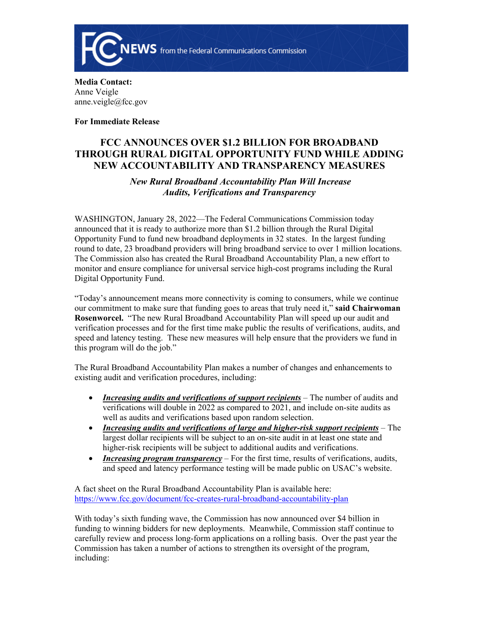

**Media Contact:**  Anne Veigle anne.veigle@fcc.gov

**For Immediate Release**

## **FCC ANNOUNCES OVER \$1.2 BILLION FOR BROADBAND THROUGH RURAL DIGITAL OPPORTUNITY FUND WHILE ADDING NEW ACCOUNTABILITY AND TRANSPARENCY MEASURES**

## *New Rural Broadband Accountability Plan Will Increase Audits, Verifications and Transparency*

WASHINGTON, January 28, 2022—The Federal Communications Commission today announced that it is ready to authorize more than \$1.2 billion through the Rural Digital Opportunity Fund to fund new broadband deployments in 32 states. In the largest funding round to date, 23 broadband providers will bring broadband service to over 1 million locations. The Commission also has created the Rural Broadband Accountability Plan, a new effort to monitor and ensure compliance for universal service high-cost programs including the Rural Digital Opportunity Fund.

"Today's announcement means more connectivity is coming to consumers, while we continue our commitment to make sure that funding goes to areas that truly need it," **said Chairwoman Rosenworcel.** "The new Rural Broadband Accountability Plan will speed up our audit and verification processes and for the first time make public the results of verifications, audits, and speed and latency testing. These new measures will help ensure that the providers we fund in this program will do the job."

The Rural Broadband Accountability Plan makes a number of changes and enhancements to existing audit and verification procedures, including:

- *Increasing audits and verifications of support recipients* The number of audits and verifications will double in 2022 as compared to 2021, and include on-site audits as well as audits and verifications based upon random selection.
- *Increasing audits and verifications of large and higher-risk support recipients* The largest dollar recipients will be subject to an on-site audit in at least one state and higher-risk recipients will be subject to additional audits and verifications.
- *Increasing program transparency* For the first time, results of verifications, audits, and speed and latency performance testing will be made public on USAC's website.

A fact sheet on the Rural Broadband Accountability Plan is available here: <https://www.fcc.gov/document/fcc-creates-rural-broadband-accountability-plan>

With today's sixth funding wave, the Commission has now announced over \$4 billion in funding to winning bidders for new deployments. Meanwhile, Commission staff continue to carefully review and process long-form applications on a rolling basis. Over the past year the Commission has taken a number of actions to strengthen its oversight of the program, including: